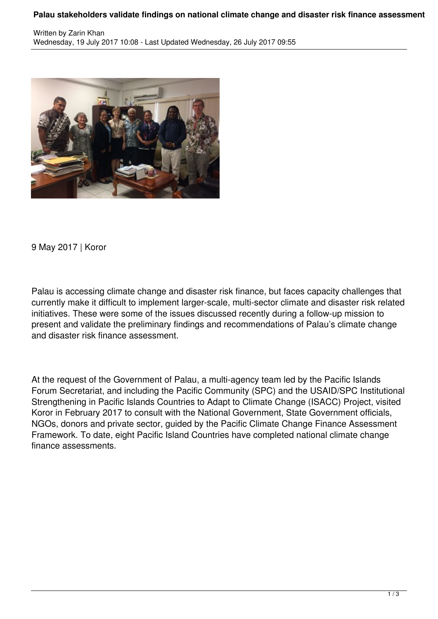## **Palau stakeholders validate findings on national climate change and disaster risk finance assessment**



9 May 2017 | Koror

Palau is accessing climate change and disaster risk finance, but faces capacity challenges that currently make it difficult to implement larger-scale, multi-sector climate and disaster risk related initiatives. These were some of the issues discussed recently during a follow-up mission to present and validate the preliminary findings and recommendations of Palau's climate change and disaster risk finance assessment.

At the request of the Government of Palau, a multi-agency team led by the Pacific Islands Forum Secretariat, and including the Pacific Community (SPC) and the USAID/SPC Institutional Strengthening in Pacific Islands Countries to Adapt to Climate Change (ISACC) Project, visited Koror in February 2017 to consult with the National Government, State Government officials, NGOs, donors and private sector, guided by the Pacific Climate Change Finance Assessment Framework. To date, eight Pacific Island Countries have completed national climate change finance assessments.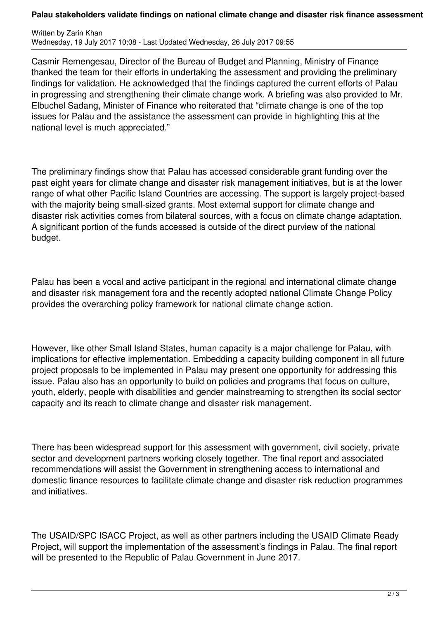## **Palau stakeholders validate findings on national climate change and disaster risk finance assessment**

Written by Zarin Khan Wednesday, 19 July 2017 10:08 - Last Updated Wednesday, 26 July 2017 09:55

Casmir Remengesau, Director of the Bureau of Budget and Planning, Ministry of Finance thanked the team for their efforts in undertaking the assessment and providing the preliminary findings for validation. He acknowledged that the findings captured the current efforts of Palau in progressing and strengthening their climate change work. A briefing was also provided to Mr. Elbuchel Sadang, Minister of Finance who reiterated that "climate change is one of the top issues for Palau and the assistance the assessment can provide in highlighting this at the national level is much appreciated."

The preliminary findings show that Palau has accessed considerable grant funding over the past eight years for climate change and disaster risk management initiatives, but is at the lower range of what other Pacific Island Countries are accessing. The support is largely project-based with the majority being small-sized grants. Most external support for climate change and disaster risk activities comes from bilateral sources, with a focus on climate change adaptation. A significant portion of the funds accessed is outside of the direct purview of the national budget.

Palau has been a vocal and active participant in the regional and international climate change and disaster risk management fora and the recently adopted national Climate Change Policy provides the overarching policy framework for national climate change action.

However, like other Small Island States, human capacity is a major challenge for Palau, with implications for effective implementation. Embedding a capacity building component in all future project proposals to be implemented in Palau may present one opportunity for addressing this issue. Palau also has an opportunity to build on policies and programs that focus on culture, youth, elderly, people with disabilities and gender mainstreaming to strengthen its social sector capacity and its reach to climate change and disaster risk management.

There has been widespread support for this assessment with government, civil society, private sector and development partners working closely together. The final report and associated recommendations will assist the Government in strengthening access to international and domestic finance resources to facilitate climate change and disaster risk reduction programmes and initiatives.

The USAID/SPC ISACC Project, as well as other partners including the USAID Climate Ready Project, will support the implementation of the assessment's findings in Palau. The final report will be presented to the Republic of Palau Government in June 2017.